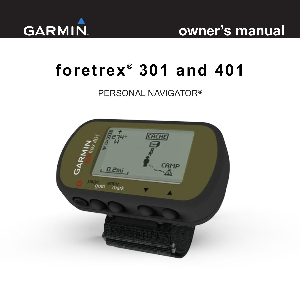

# **owner's manual**

# **foretrex ® 301 and 401**

### PERSONAL NAVIGATOR®

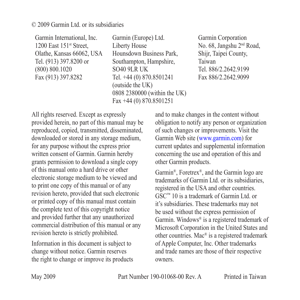© 2009 Garmin Ltd. or its subsidiaries

Garmin International, Inc. 1200 East 151<sup>st</sup> Street, Olathe, Kansas 66062, USA Tel. (913) 397.8200 or (800) 800.1020 Fax (913) 397.8282

Garmin (Europe) Ltd. Liberty House Hounsdown Business Park, Southampton, Hampshire, SO40 9LR UK Tel. +44 (0) 870.8501241 (outside the UK) 0808 2380000 (within the UK) Fax +44 (0) 870.8501251

Garmin Corporation No. 68, Jangshu 2nd Road, Shijr, Taipei County, Taiwan Tel. 886/2.2642.9199 Fax 886/2.2642.9099

All rights reserved. Except as expressly provided herein, no part of this manual may be reproduced, copied, transmitted, disseminated, downloaded or stored in any storage medium, for any purpose without the express prior written consent of Garmin. Garmin hereby grants permission to download a single copy of this manual onto a hard drive or other electronic storage medium to be viewed and to print one copy of this manual or of any revision hereto, provided that such electronic or printed copy of this manual must contain the complete text of this copyright notice and provided further that any unauthorized commercial distribution of this manual or any revision hereto is strictly prohibited.

Information in this document is subject to change without notice. Garmin reserves the right to change or improve its products and to make changes in the content without obligation to notify any person or organization of such changes or improvements. Visit the Garmin Web site (<www.garmin.com>) for current updates and supplemental information concerning the use and operation of this and other Garmin products.

Garmin®, Foretrex®, and the Garmin logo are trademarks of Garmin Ltd. or its subsidiaries, registered in the USA and other countries. GSC™ 10 is a trademark of Garmin Ltd. or it's subsidiaries. These trademarks may not be used without the express permission of Garmin. Windows® is a registered trademark of Microsoft Corporation in the United States and other countries. Mac® is a registered trademark of Apple Computer, Inc. Other trademarks and trade names are those of their respective owners.

May 2009 **Part Number 190-01068-00 Rev. A** Printed in Taiwan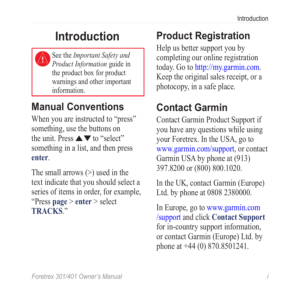# **Introduction**

<span id="page-2-0"></span>

See the *Important Safety and Product Information* guide in the product box for product warnings and other important information.

# **Manual Conventions**

When you are instructed to "press" something, use the buttons on the unit. Press  $\blacktriangle \blacktriangledown$  to "select" something in a list, and then press **enter**.

The small arrows (>) used in the text indicate that you should select a series of items in order, for example, "Press **page** > **enter** > select **TRACKS**."

# **Product Registration**

Help us better support you by completing our online registration today. Go to [http://my.garmin.com.](http://my.garmin.com) Keep the original sales receipt, or a photocopy, in a safe place.

# **Contact Garmin**

Contact Garmin Product Support if you have any questions while using your Foretrex. In the USA, go to <www.garmin.com/support>, or contact Garmin USA by phone at (913) 397.8200 or (800) 800.1020.

In the UK, contact Garmin (Europe) Ltd. by phone at 0808 2380000.

In Europe, go to [www.garmin.com](www.garmin.com/support) [/support](www.garmin.com/support) and click **Contact Support** for in-country support information, or contact Garmin (Europe) Ltd. by phone at +44 (0) 870.8501241.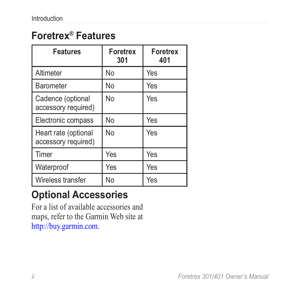# <span id="page-3-0"></span>**Foretrex® Features**

| <b>Features</b>                             | <b>Foretrex</b><br>301 | <b>Foretrex</b><br>401 |
|---------------------------------------------|------------------------|------------------------|
| Altimeter                                   | No                     | Yes                    |
| <b>Barometer</b>                            | No                     | Yes                    |
| Cadence (optional<br>accessory required)    | No                     | Yes                    |
| Electronic compass                          | <b>No</b>              | Yes                    |
| Heart rate (optional<br>accessory required) | No                     | Yes                    |
| Timer                                       | Yes                    | Yes                    |
| Waterproof                                  | Yes                    | Yes                    |
| Wireless transfer                           | No                     | Yes                    |

# **Optional Accessories**

For a list of available accessories and maps, refer to the Garmin Web site at <http://buy.garmin.com>.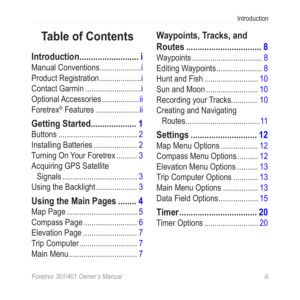# **Table of Contents**

| Introduction i<br>Manual Conventionsi<br>Product Registration<br>Contact Garmin i<br>Optional Accessoriesii<br>Foretrex <sup>®</sup> Features ii |  |
|--------------------------------------------------------------------------------------------------------------------------------------------------|--|
| Getting Started 1                                                                                                                                |  |
|                                                                                                                                                  |  |
|                                                                                                                                                  |  |
| Turning On Your Foretrex 3                                                                                                                       |  |
| <b>Acquiring GPS Satellite</b>                                                                                                                   |  |
|                                                                                                                                                  |  |
| Using the Backlight3                                                                                                                             |  |
| Using the Main Pages  4                                                                                                                          |  |
|                                                                                                                                                  |  |
|                                                                                                                                                  |  |
| Compass Page 6                                                                                                                                   |  |
|                                                                                                                                                  |  |
|                                                                                                                                                  |  |
|                                                                                                                                                  |  |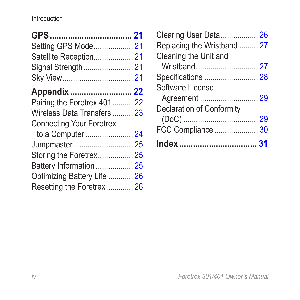| Setting GPS Mode 21         |
|-----------------------------|
| Satellite Reception 21      |
| Signal Strength 21          |
|                             |
| Appendix  22                |
| Pairing the Foretrex 401 22 |
| Wireless Data Transfers 23  |
|                             |
| to a Computer  24           |
| Jumpmaster 25               |
|                             |
| Battery Information  25     |
| Optimizing Battery Life  26 |
| Resetting the Foretrex 26   |
|                             |

| Clearing User Data 26       |  |
|-----------------------------|--|
| Replacing the Wristband  27 |  |
| Cleaning the Unit and       |  |
|                             |  |
|                             |  |
| Software License            |  |
|                             |  |
| Declaration of Conformity   |  |
|                             |  |
| FCC Compliance  30          |  |
|                             |  |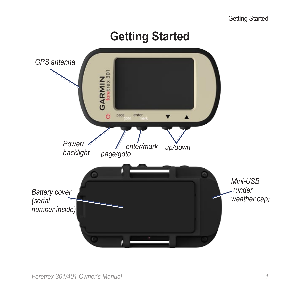<span id="page-6-0"></span>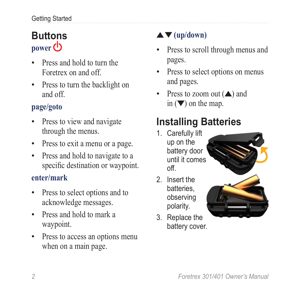# <span id="page-7-0"></span>**Buttons** power **①**

- Press and hold to turn the Foretrex on and off.
- Press to turn the backlight on and off.

### **page/goto**

- Press to view and navigate through the menus.
- Press to exit a menu or a page.
- Press and hold to navigate to a specific destination or waypoint.

### **enter/mark**

- Press to select options and to acknowledge messages. •
- Press and hold to mark a waypoint. •
- Press to access an options menu when on a main page.

## **(up/down)**

- Press to scroll through menus and pages. •
- Press to select options on menus and pages.
- Press to zoom out  $($  $\blacktriangle$ ) and in  $(\nabla)$  on the map. •

# **Installing Batteries**

- 1. Carefully lift up on the battery door until it comes off.
- 2. Insert the batteries, observing polarity.
- 3. Replace the battery cover.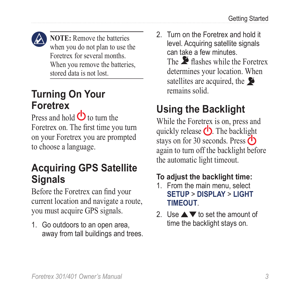<span id="page-8-0"></span>

**NOTE:** Remove the batteries when you do not plan to use the Foretrex for several months. When you remove the batteries, stored data is not lost.

### **Turning On Your Foretrex**

Press and hold  $\bigcirc$  to turn the Foretrex on. The first time you turn on your Foretrex you are prompted to choose a language.

## **Acquiring GPS Satellite Signals**

Before the Foretrex can find your current location and navigate a route, you must acquire GPS signals.

1. Go outdoors to an open area, away from tall buildings and trees. 2. Turn on the Foretrex and hold it level. Acquiring satellite signals can take a few minutes. The  $\blacktriangleright$  flashes while the Foretrex determines your location. When satellites are acquired, the remains solid.

# **Using the Backlight**

While the Foretrex is on, press and quickly release  $\bigcirc$ . The backlight stays on for 30 seconds. Press ( again to turn off the backlight before the automatic light timeout.

### <span id="page-8-1"></span>**To adjust the backlight time:**

- 1. From the main menu, select **SETUP** > **DISPLAY** > **LIGHT TIMEOUT**.
- 2. Use  $\triangle \blacktriangledown$  to set the amount of time the backlight stays on.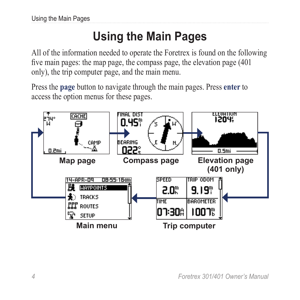# **Using the Main Pages**

<span id="page-9-0"></span>All of the information needed to operate the Foretrex is found on the following five main pages: the map page, the compass page, the elevation page (401 only), the trip computer page, and the main menu.

Press the **page** button to navigate through the main pages. Press **enter** to access the option menus for these pages.

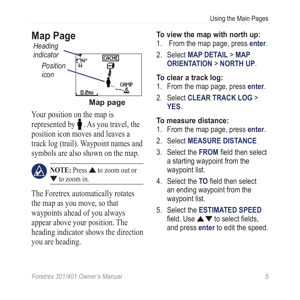<span id="page-10-0"></span>

Your position on the map is represented by  $\bullet$ . As you travel, the position icon moves and leaves a track log (trail). Waypoint names and symbols are also shown on the map.



**NOTE:** Press **A** to zoom out or to zoom in.

The Foretrex automatically rotates the map as you move, so that waypoints ahead of you always appear above your position. The heading indicator shows the direction you are heading.

### **To view the map with north up:**

- 1. From the map page, press **enter**.
- 2. Select **MAP DETAIL** > **MAP ORIENTATION** > **NORTH UP**.

### **To clear a track log:**

- 1. From the map page, press **enter**.
- 2. Select **CLEAR TRACK LOG** > **YES**.

### <span id="page-10-1"></span>**To measure distance:**

- 1. From the map page, press **enter**.
- 2. Select **MEASURE DISTANCE**
- 3. Select the **FROM** field then select a starting waypoint from the waypoint list.
- 4. Select the **TO** field then select an ending waypoint from the waypoint list.
- 5. Select the **ESTIMATED SPEED** field. Use  $\triangle \blacktriangledown$  to select fields, and press **enter** to edit the speed.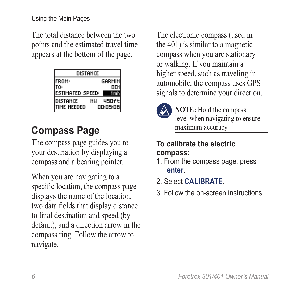<span id="page-11-0"></span>The total distance between the two points and the estimated travel time appears at the bottom of the page.

| distance         |    |          |  |
|------------------|----|----------|--|
| <b>FROM:</b>     |    | GARMIN   |  |
| ſ۵               |    | OO.      |  |
| estimated speed: |    | 1 m t    |  |
| <b>DISTANCE</b>  | NЦ | 450ft    |  |
| time needed      |    | 00:05:06 |  |

# **Compass Page**

The compass page guides you to your destination by displaying a compass and a bearing pointer.

When you are navigating to a specific location, the compass page displays the name of the location, two data fields that display distance to final destination and speed (by default), and a direction arrow in the compass ring. Follow the arrow to navigate.

The electronic compass (used in the 401) is similar to a magnetic compass when you are stationary or walking. If you maintain a higher speed, such as traveling in automobile, the compass uses GPS signals to determine your direction.



**NOTE:** Hold the compass level when navigating to ensure maximum accuracy.

### **To calibrate the electric compass:**

- 1. From the compass page, press **enter**.
- 2. Select **CALIBRATE**.
- 3. Follow the on-screen instructions.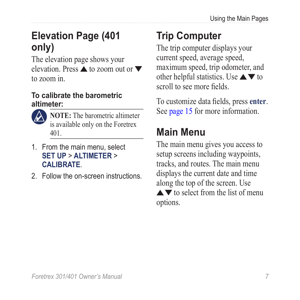# <span id="page-12-0"></span>**Elevation Page (401 only)**

The elevation page shows your elevation. Press  $\triangle$  to zoom out or  $\nabla$ to zoom in.

### **To calibrate the barometric altimeter:**



**NOTE:** The barometric altimeter is available only on the Foretrex 401.

- 1. From the main menu, select **SET UP** > **ALTIMETER** > **CALIBRATE**.
- 2. Follow the on-screen instructions.

# **Trip Computer**

The trip computer displays your current speed, average speed, maximum speed, trip odometer, and other helpful statistics. Use  $\blacktriangle \blacktriangledown$  to scroll to see more fields.

To customize data fields, press **enter**. See [page 15](#page-20-1) for more information.

# **Main Menu**

The main menu gives you access to setup screens including waypoints, tracks, and routes. The main menu displays the current date and time along the top of the screen. Use  $\blacktriangle \blacktriangledown$  to select from the list of menu options.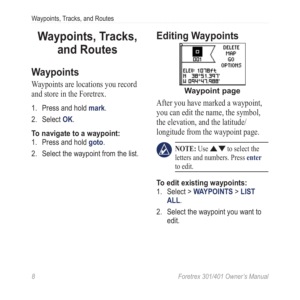# <span id="page-13-0"></span>**Waypoints, Tracks, and Routes**

# **Waypoints**

Waypoints are locations you record and store in the Foretrex.

- 1. Press and hold **mark**.
- 2. Select **OK**.

### <span id="page-13-1"></span>**To navigate to a waypoint:**

- 1. Press and hold **goto**.
- 2. Select the waypoint from the list.

# **Editing Waypoints**



### **Waypoint page**

After you have marked a waypoint, you can edit the name, the symbol, the elevation, and the latitude/ longitude from the waypoint page.



**NOTE:** Use  $\blacktriangle \blacktriangledown$  to select the letters and numbers. Press **enter** to edit.

### **To edit existing waypoints:**

- 1. Select > **WAYPOINTS** > **LIST ALL**.
- 2. Select the waypoint you want to edit.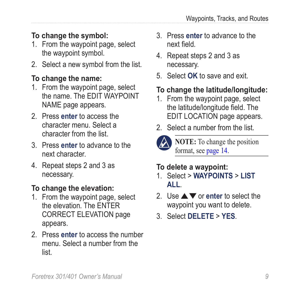### **To change the symbol:**

- 1. From the waypoint page, select the waypoint symbol.
- 2. Select a new symbol from the list.

### **To change the name:**

- 1. From the waypoint page, select the name. The EDIT WAYPOINT NAME page appears.
- 2. Press **enter** to access the character menu. Select a character from the list.
- 3. Press **enter** to advance to the next character.
- 4. Repeat steps 2 and 3 as necessary.

### **To change the elevation:**

- 1. From the waypoint page, select the elevation. The ENTER CORRECT ELEVATION page appears.
- 2. Press **enter** to access the number menu. Select a number from the list.
- 3. Press **enter** to advance to the next field.
- 4. Repeat steps 2 and 3 as necessary.
- 5. Select **OK** to save and exit.

### **To change the latitude/longitude:**

- 1. From the waypoint page, select the latitude/longitude field. The EDIT LOCATION page appears.
- 2. Select a number from the list.



**NOTE:** To change the position format, see [page 14](#page-19-0).

### **To delete a waypoint:**

- 1. Select > **WAYPOINTS** > **LIST ALL**.
- 2. Use **△▼** or **enter** to select the waypoint you want to delete.
- 3. Select **DELETE** > **YES**.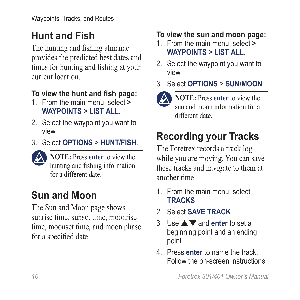# <span id="page-15-0"></span>**Hunt and Fish**

The hunting and fishing almanac provides the predicted best dates and times for hunting and fishing at your current location.

### **To view the hunt and fish page:**

- 1. From the main menu, select > **WAYPOINTS** > **LIST ALL**.
- 2. Select the waypoint you want to view.
- 3. Select **OPTIONS** > **HUNT/FISH**.



**NOTE:** Press enter to view the hunting and fishing information for a different date.

# **Sun and Moon**

The Sun and Moon page shows sunrise time, sunset time, moonrise time, moonset time, and moon phase for a specified date.

### **To view the sun and moon page:**

- 1. From the main menu, select > **WAYPOINTS** > **LIST ALL**.
- 2. Select the waypoint you want to view.
- 3. Select **OPTIONS** > **SUN/MOON**.



**NOTE:** Press enter to view the sun and moon information for a different date.

# **Recording your Tracks**

The Foretrex records a track log while you are moving. You can save these tracks and navigate to them at another time.

- 1. From the main menu, select **TRACKS**.
- 2. Select **SAVE TRACK**.
- 3 Use and **enter** to set a beginning point and an ending point.
- 4. Press **enter** to name the track. Follow the on-screen instructions.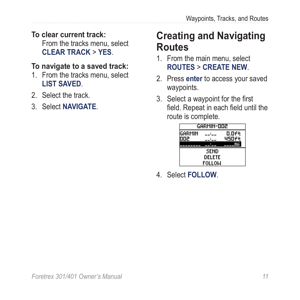#### <span id="page-16-0"></span>**To clear current track:** From the tracks menu, select **CLEAR TRACK** > **YES**.

#### **To navigate to a saved track:**

- 1. From the tracks menu, select **LIST SAVED**.
- 2. Select the track.
- 3. Select **NAVIGATE**.

## **Creating and Navigating Routes**

- 1. From the main menu, select **ROUTES** > **CREATE NEW**.
- 2. Press **enter** to access your saved waypoints.
- 3. Select a waypoint for the first field. Repeat in each field until the route is complete.

| GARMIN-DO2  |  |       |  |  |
|-------------|--|-------|--|--|
| GARMIN      |  | 0.Oft |  |  |
| ᇛ           |  | 450ft |  |  |
|             |  |       |  |  |
| <b>SEND</b> |  |       |  |  |
| DELETE      |  |       |  |  |
| FOLLOW      |  |       |  |  |

4. Select **FOLLOW**.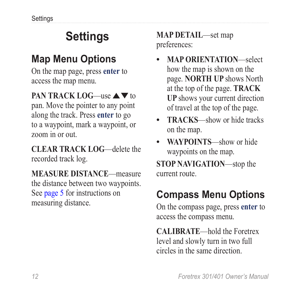# **Settings**

# <span id="page-17-0"></span>**Map Menu Options**

On the map page, press **enter** to access the map menu.

### **PAN TRACK LOG—use**  $\triangle \blacktriangledown$  **to**

pan. Move the pointer to any point along the track. Press **enter** to go to a waypoint, mark a waypoint, or zoom in or out.

**CLEAR TRACK LOG**—delete the recorded track log.

**MEASURE DISTANCE**—measure the distance between two waypoints. See [page 5](#page-10-1) for instructions on measuring distance.

**MAP DETAIL**—set map preferences:

- **MAP ORIENTATION**—select how the map is shown on the page. **NORTH UP** shows North at the top of the page. **TRACK UP** shows your current direction of travel at the top of the page. **•**
- **TRACKS**—show or hide tracks on the map. **•**
- **WAYPOINTS**—show or hide waypoints on the map.

**STOP NAVIGATION**—stop the current route.

# **Compass Menu Options**

On the compass page, press **enter** to access the compass menu.

**CALIBRATE**—hold the Foretrex level and slowly turn in two full circles in the same direction.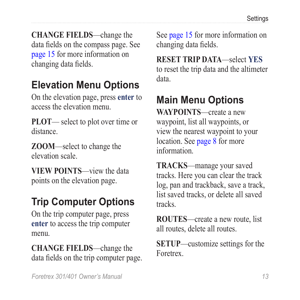<span id="page-18-0"></span>**CHANGE FIELDS**—change the data fields on the compass page. See [page 15](#page-20-1) for more information on changing data fields.

# **Elevation Menu Options**

On the elevation page, press **enter** to access the elevation menu.

**PLOT**— select to plot over time or distance.

**ZOOM**—select to change the elevation scale.

**VIEW POINTS**—view the data points on the elevation page.

# **Trip Computer Options**

On the trip computer page, press **enter** to access the trip computer menu.

**CHANGE FIELDS**—change the data fields on the trip computer page. See [page 15](#page-20-1) for more information on changing data fields.

**RESET TRIP DATA**—select **YES** to reset the trip data and the altimeter data.

# **Main Menu Options**

**WAYPOINTS**—create a new waypoint, list all waypoints, or view the nearest waypoint to your location. See [page 8](#page-13-1) for more information.

**TRACKS**—manage your saved tracks. Here you can clear the track log, pan and trackback, save a track, list saved tracks, or delete all saved tracks.

**ROUTES**—create a new route, list all routes, delete all routes.

**SETUP**—customize settings for the Foretrex.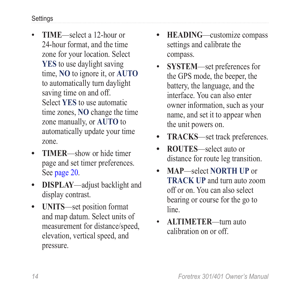- <span id="page-19-1"></span>**TIME**—select a 12-hour or 24-hour format, and the time zone for your location. Select **YES** to use daylight saving time, **NO** to ignore it, or **AUTO** to automatically turn daylight saving time on and off. Select **YES** to use automatic time zones, **NO** change the time zone manually, or **AUTO** to automatically update your time zone. •
- **TIMER**—show or hide timer page and set timer preferences. See [page 20](#page-25-1). **•**
- **DISPLAY**—adjust backlight and display contrast. **•**
- <span id="page-19-0"></span>**UNITS**—set position format **•** and map datum. Select units of measurement for distance/speed, elevation, vertical speed, and pressure.
- **HEADING**—customize compass settings and calibrate the compass. **•**
- **SYSTEM**—set preferences for the GPS mode, the beeper, the battery, the language, and the interface. You can also enter owner information, such as your name, and set it to appear when the unit powers on. •
- **TRACKS**—set track preferences. **•**
- **ROUTES**—select auto or distance for route leg transition. **•**
- **MAP**—select **NORTH UP** or **TRACK UP** and turn auto zoom off or on. You can also select bearing or course for the go to line. **•**
- **ALTIMETER**—turn auto calibration on or off. •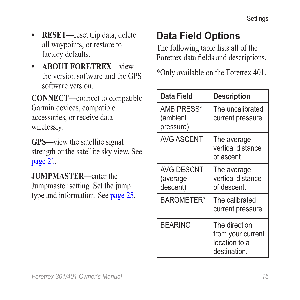- <span id="page-20-0"></span>**RESET**—reset trip data, delete all waypoints, or restore to factory defaults. **•**
- **ABOUT FORETREX**—view **•** the version software and the GPS software version.

**CONNECT**—connect to compatible Garmin devices, compatible accessories, or receive data wirelessly.

**GPS**—view the satellite signal strength or the satellite sky view. See [page 21.](#page-26-1)

**JUMPMASTER**—enter the Jumpmaster setting. Set the jump type and information. See [page 25.](#page-30-1)

# <span id="page-20-1"></span>**Data Field Options**

The following table lists all of the Foretrex data fields and descriptions.

\*Only available on the Foretrex 401.

| Data Field                                | <b>Description</b>                                                  |
|-------------------------------------------|---------------------------------------------------------------------|
| AMB PRESS*<br>(ambient<br>pressure)       | The uncalibrated<br>current pressure.                               |
| <b>AVG ASCENT</b>                         | The average<br>vertical distance<br>of ascent.                      |
| <b>AVG DESCNT</b><br>(average<br>descent) | The average<br>vertical distance<br>of descent.                     |
| <b>BAROMETER*</b>                         | The calibrated<br>current pressure.                                 |
| <b>BEARING</b>                            | The direction<br>from your current<br>location to a<br>destination. |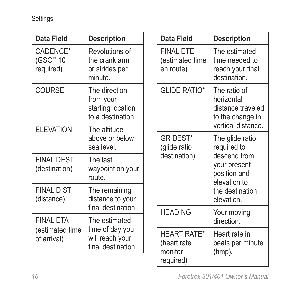<span id="page-21-0"></span>

| Data Field                                                                                                                                            | <b>Description</b>                                                   |                                              | Data Field                                       | <b>Description</b>                                                                        |              |                                                              |
|-------------------------------------------------------------------------------------------------------------------------------------------------------|----------------------------------------------------------------------|----------------------------------------------|--------------------------------------------------|-------------------------------------------------------------------------------------------|--------------|--------------------------------------------------------------|
| CADENCE*<br>(GSC™ 10<br>required)                                                                                                                     | Revolutions of<br>the crank arm<br>or strides per<br>minute.         |                                              | <b>FINAL ETE</b><br>(estimated time<br>en route) | The estimated<br>time needed to<br>reach your final<br>destination.                       |              |                                                              |
| <b>COURSE</b>                                                                                                                                         | The direction<br>from your<br>starting location<br>to a destination. |                                              | <b>GLIDE RATIO*</b>                              | The ratio of<br>horizontal<br>distance traveled<br>to the change in<br>vertical distance. |              |                                                              |
| <b>ELEVATION</b>                                                                                                                                      | The altitude<br>above or below<br>sea level.                         |                                              | <b>GR DEST*</b><br>(glide ratio                  | The glide ratio<br>required to                                                            |              |                                                              |
| <b>FINAL DEST</b><br>(destination)                                                                                                                    | The last<br>waypoint on your<br>route.                               |                                              |                                                  |                                                                                           | destination) | descend from<br>your present<br>position and<br>elevation to |
| <b>FINAL DIST</b><br>(distance)                                                                                                                       | The remaining<br>distance to your                                    |                                              |                                                  | the destination<br>elevation.                                                             |              |                                                              |
| final destination.<br><b>FINAL ETA</b><br>The estimated<br>time of day you<br>(estimated time<br>will reach your<br>of arrival)<br>final destination. |                                                                      | <b>HEADING</b>                               | Your moving<br>direction.                        |                                                                                           |              |                                                              |
|                                                                                                                                                       |                                                                      | <b>HEART RATE*</b><br>(heart rate<br>monitor | Heart rate in<br>beats per minute<br>(bmp).      |                                                                                           |              |                                                              |
|                                                                                                                                                       |                                                                      |                                              | required)                                        |                                                                                           |              |                                                              |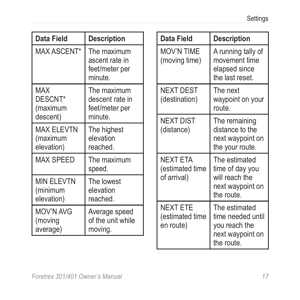| Data Field                                   | <b>Description</b>                                         |  | Data Field                                        | <b>Description</b>                                                                    |
|----------------------------------------------|------------------------------------------------------------|--|---------------------------------------------------|---------------------------------------------------------------------------------------|
| MAX ASCENT*                                  | The maximum<br>ascent rate in<br>feet/meter per<br>minute. |  | MOV'N TIME<br>(moving time)                       | A running tally of<br>movement time<br>elapsed since<br>the last reset.               |
| <b>MAX</b><br>DESCNT*<br>(maximum            | The maximum<br>descent rate in<br>feet/meter per           |  | <b>NEXT DEST</b><br>(destination)                 | The next<br>waypoint on your<br>route.                                                |
| descent)                                     | minute.                                                    |  | <b>NEXT DIST</b>                                  | The remaining                                                                         |
| <b>MAX ELEVTN</b><br>(maximum<br>elevation)  | The highest<br>elevation<br>reached.                       |  | (distance)                                        | distance to the<br>next waypoint on<br>the your route.                                |
| <b>MAX SPEED</b>                             | The maximum<br>speed.                                      |  | <b>NEXT ETA</b><br>(estimated time<br>of arrival) | The estimated<br>time of day you<br>will reach the<br>next waypoint on<br>the route.  |
| <b>MIN FI FVTN</b><br>(minimum<br>elevation) | The lowest<br>elevation<br>reached.                        |  |                                                   |                                                                                       |
| MOV'N AVG<br>(moving<br>average)             | Average speed<br>of the unit while<br>moving.              |  | <b>NEXT ETE</b><br>(estimated time<br>en route)   | The estimated<br>time needed until<br>you reach the<br>next waypoint on<br>the route. |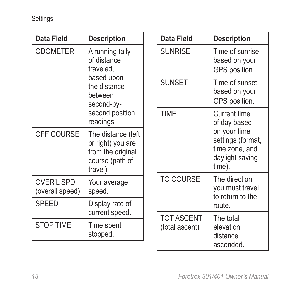| Data Field                                                                                                            | <b>Description</b>                                                                          |               | Data Field                                       | <b>Description</b>                                   |                                                                                  |
|-----------------------------------------------------------------------------------------------------------------------|---------------------------------------------------------------------------------------------|---------------|--------------------------------------------------|------------------------------------------------------|----------------------------------------------------------------------------------|
| <b>ODOMETER</b><br>A running tally<br>of distance<br>traveled.<br>based upon<br>the distance<br>between<br>second-by- |                                                                                             |               | <b>SUNRISE</b>                                   | Time of sunrise<br>based on your<br>GPS position.    |                                                                                  |
|                                                                                                                       |                                                                                             | <b>SUNSET</b> | Time of sunset<br>based on your<br>GPS position. |                                                      |                                                                                  |
|                                                                                                                       | second position<br>readings.                                                                |               | <b>TIME</b>                                      | <b>Current time</b><br>of day based                  |                                                                                  |
| OFF COURSE                                                                                                            | The distance (left<br>or right) you are<br>from the original<br>course (path of<br>travel). |               |                                                  |                                                      | on your time<br>settings (format,<br>time zone, and<br>daylight saving<br>time). |
| <b>OVER'L SPD</b><br>(overall speed)                                                                                  | Your average<br>speed.                                                                      |               | <b>TO COURSE</b>                                 | The direction<br>you must travel<br>to return to the |                                                                                  |
| <b>SPEED</b>                                                                                                          | Display rate of<br>current speed.                                                           |               |                                                  | route.                                               |                                                                                  |
| <b>STOP TIME</b>                                                                                                      | Time spent<br>stopped.                                                                      |               | <b>TOT ASCENT</b><br>(total ascent)              | The total<br>elevation<br>distance<br>ascended.      |                                                                                  |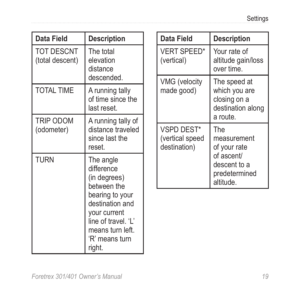| <b>Data Field</b>                                                     | <b>Description</b>                                                                                                        |                                                          | Data Field                                    | <b>Description</b>                                    |                                                                    |
|-----------------------------------------------------------------------|---------------------------------------------------------------------------------------------------------------------------|----------------------------------------------------------|-----------------------------------------------|-------------------------------------------------------|--------------------------------------------------------------------|
| <b>TOT DESCNT</b><br>(total descent)                                  | The total<br>elevation<br>distance                                                                                        |                                                          | <b>VERT SPEED*</b><br>(vertical)              | Your rate of<br>altitude gain/loss<br>over time.      |                                                                    |
| <b>TOTAL TIME</b>                                                     | descended.<br>A running tally<br>of time since the<br>last reset.                                                         |                                                          |                                               | VMG (velocity<br>made good)                           | The speed at<br>which you are<br>closing on a<br>destination along |
| TRIP ODOM<br>(odometer)                                               | A running tally of<br>distance traveled<br>since last the<br>reset.                                                       |                                                          | VSPD DEST*<br>(vertical speed<br>destination) | a route.<br><b>The</b><br>measurement<br>of your rate |                                                                    |
| <b>TURN</b><br>The angle<br>difference<br>(in degrees)<br>between the |                                                                                                                           | of ascent/<br>descent to a<br>predetermined<br>altitude. |                                               |                                                       |                                                                    |
|                                                                       | bearing to your<br>destination and<br>your current<br>line of travel. 'L'<br>means turn left.<br>'R' means turn<br>right. |                                                          |                                               |                                                       |                                                                    |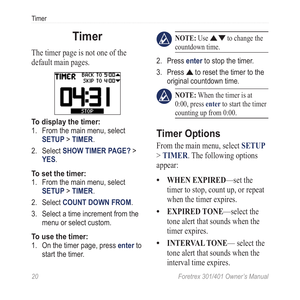# <span id="page-25-1"></span>**Timer**

<span id="page-25-0"></span>The timer page is not one of the default main pages.



### **To display the timer:**

- 1. From the main menu, select **SETUP** > **TIMER**.
- 2. Select **SHOW TIMER PAGE?** > **YES**.

### **To set the timer:**

- 1. From the main menu, select **SETUP** > **TIMER**.
- 2. Select **COUNT DOWN FROM**.
- 3. Select a time increment from the menu or select custom.

### **To use the timer:**

1. On the timer page, press **enter** to start the timer.



**NOTE:** Use  $\triangle \blacktriangledown$  to change the countdown time.

- 2. Press **enter** to stop the timer.
- 3. Press  $\triangle$  to reset the timer to the original countdown time.



**NOTE:** When the timer is at 0:00, press **enter** to start the timer counting up from 0:00.

# **Timer Options**

From the main menu, select **SETUP** > **TIMER**. The following options appear:

- **WHEN EXPIRED**—set the timer to stop, count up, or repeat when the timer expires. **•**
- **EXPIRED TONE**—select the tone alert that sounds when the timer expires. **•**
- **INTERVAL TONE** select the tone alert that sounds when the interval time expires. **•**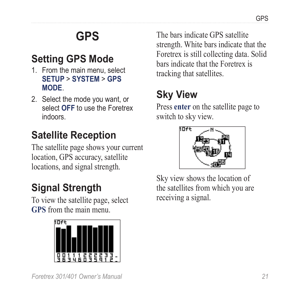# **GPS**

# <span id="page-26-0"></span>**Setting GPS Mode**

- 1. From the main menu, select **SETUP** > **SYSTEM** > **GPS MODE**.
- 2. Select the mode you want, or select **OFF** to use the Foretrex indoors.

# **Satellite Reception**

The satellite page shows your current location, GPS accuracy, satellite locations, and signal strength.

# **Signal Strength**

To view the satellite page, select **GPS** from the main menu.



<span id="page-26-1"></span>The bars indicate GPS satellite strength. White bars indicate that the Foretrex is still collecting data. Solid bars indicate that the Foretrex is tracking that satellites.

# **Sky View**

Press **enter** on the satellite page to switch to sky view.



Sky view shows the location of the satellites from which you are receiving a signal.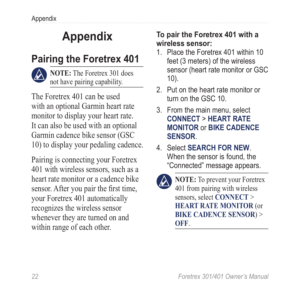# **Appendix**

# <span id="page-27-0"></span>**Pairing the Foretrex 401**



**NOTE:** The Foretrex 301 does not have pairing capability.

The Foretrex 401 can be used with an optional Garmin heart rate monitor to display your heart rate. It can also be used with an optional Garmin cadence bike sensor (GSC 10) to display your pedaling cadence.

Pairing is connecting your Foretrex 401 with wireless sensors, such as a heart rate monitor or a cadence bike sensor. After you pair the first time, your Foretrex 401 automatically recognizes the wireless sensor whenever they are turned on and within range of each other.

### **To pair the Foretrex 401 with a wireless sensor:**

- 1. Place the Foretrex 401 within 10 feet (3 meters) of the wireless sensor (heart rate monitor or GSC 10).
- 2. Put on the heart rate monitor or turn on the GSC 10.
- 3. From the main menu, select **CONNECT** > **HEART RATE MONITOR** or **BIKE CADENCE SENSOR**.
- 4. Select **SEARCH FOR NEW**. When the sensor is found, the "Connected" message appears.

**NOTE:** To prevent your Foretrex 401 from pairing with wireless sensors, select **CONNECT** > **HEART RATE MONITOR** (or **BIKE CADENCE SENSOR**) > **OFF**.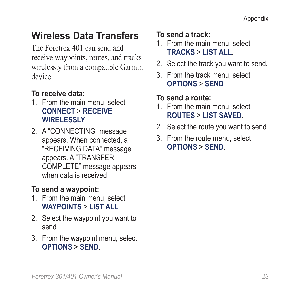### <span id="page-28-0"></span>**Wireless Data Transfers**

The Foretrex 401 can send and receive waypoints, routes, and tracks wirelessly from a compatible Garmin device.

### **To receive data:**

- 1. From the main menu, select **CONNECT** > **RECEIVE WIRELESSLY**.
- 2. A "CONNECTING" message appears. When connected, a "RECEIVING DATA" message appears. A "TRANSFER COMPLETE" message appears when data is received.

### **To send a waypoint:**

- 1. From the main menu, select **WAYPOINTS** > **LIST ALL**.
- 2. Select the waypoint you want to send.
- 3. From the waypoint menu, select **OPTIONS** > **SEND**.

### **To send a track:**

- 1. From the main menu, select **TRACKS** > **LIST ALL**.
- 2. Select the track you want to send.
- 3. From the track menu, select **OPTIONS** > **SEND**.

### **To send a route:**

- 1. From the main menu, select **ROUTES** > **LIST SAVED**.
- 2. Select the route you want to send.
- 3. From the route menu, select **OPTIONS** > **SEND**.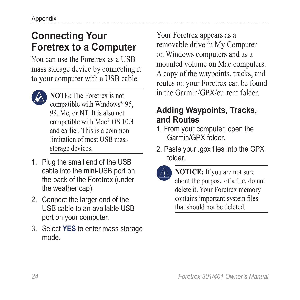## <span id="page-29-0"></span>**Connecting Your Foretrex to a Computer**

You can use the Foretrex as a USB mass storage device by connecting it to your computer with a USB cable.



- **NOTE:** The Foretrex is not compatible with Windows® 95, 98, Me, or NT. It is also not compatible with Mac® OS 10.3 and earlier. This is a common limitation of most USB mass storage devices.
- 1. Plug the small end of the USB cable into the mini-USB port on the back of the Foretrex (under the weather cap).
- 2. Connect the larger end of the USB cable to an available USB port on your computer.
- 3. Select **YES** to enter mass storage mode.

Your Foretrex appears as a removable drive in My Computer on Windows computers and as a mounted volume on Mac computers. A copy of the waypoints, tracks, and routes on your Foretrex can be found in the Garmin/GPX/current folder.

### **Adding Waypoints, Tracks, and Routes**

- 1. From your computer, open the Garmin/GPX folder.
- 2. Paste your .gpx files into the GPX folder.
- 

**NOTICE:** If you are not sure about the purpose of a file, do not delete it. Your Foretrex memory contains important system files that should not be deleted.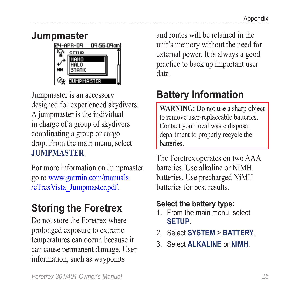<span id="page-30-1"></span><span id="page-30-0"></span>



Jumpmaster is an accessory designed for experienced skydivers. A jumpmaster is the individual in charge of a group of skydivers coordinating a group or cargo drop. From the main menu, select **JUMPMASTER**.

For more information on Jumpmaster go to [www.garmin.com/manuals](http://www8.garmin.com/manuals/eTrexVista_Jumpmaster.pdf) [/eTrexVista\\_Jumpmaster.pdf.](http://www8.garmin.com/manuals/eTrexVista_Jumpmaster.pdf)

### **Storing the Foretrex**

Do not store the Foretrex where prolonged exposure to extreme temperatures can occur, because it can cause permanent damage. User information, such as waypoints

and routes will be retained in the unit's memory without the need for external power. It is always a good practice to back up important user data.

# **Battery Information**

**WARNING:** Do not use a sharp object to remove user-replaceable batteries. Contact your local waste disposal department to properly recycle the **batteries** 

The Foretrex operates on two AAA batteries. Use alkaline or NiMH batteries. Use precharged NiMH batteries for best results.

### **Select the battery type:**

- 1. From the main menu, select **SETUP**.
- 2. Select **SYSTEM** > **BATTERY**.
- 3. Select **ALKALINE** or **NIMH**.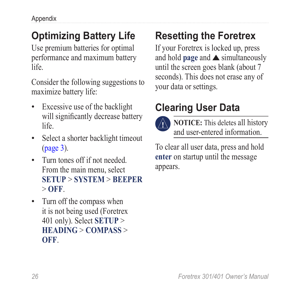# <span id="page-31-0"></span>**Optimizing Battery Life**

Use premium batteries for optimal performance and maximum battery life.

Consider the following suggestions to maximize battery life:

- Excessive use of the backlight will significantly decrease battery life. •
- Select a shorter backlight timeout ([page 3](#page-8-1)).
- Turn tones off if not needed. From the main menu, select **SETUP** > **SYSTEM** > **BEEPER** > **OFF**.
- Turn off the compass when it is not being used (Foretrex 401 only). Select **SETUP** > **HEADING** > **COMPASS** > **OFF**.

# **Resetting the Foretrex**

If your Foretrex is locked up, press and hold **page** and  $\triangle$  simultaneously until the screen goes blank (about 7 seconds). This does not erase any of your data or settings.

# **Clearing User Data**



**NOTICE:** This deletes all history and user-entered information.

To clear all user data, press and hold **enter** on startup until the message appears.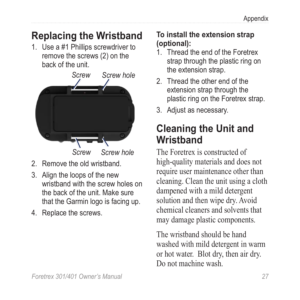# <span id="page-32-0"></span>**Replacing the Wristband**

1. Use a #1 Phillips screwdriver to remove the screws (2) on the back of the unit.



- 2. Remove the old wristband.
- 3. Align the loops of the new wristband with the screw holes on the back of the unit. Make sure that the Garmin logo is facing up.
- 4. Replace the screws.

### **To install the extension strap (optional):**

- 1. Thread the end of the Foretrex strap through the plastic ring on the extension strap.
- 2. Thread the other end of the extension strap through the plastic ring on the Foretrex strap.
- 3. Adjust as necessary.

## **Cleaning the Unit and Wristband**

The Foretrex is constructed of high-quality materials and does not require user maintenance other than cleaning. Clean the unit using a cloth dampened with a mild detergent solution and then wipe dry. Avoid chemical cleaners and solvents that may damage plastic components.

The wristband should be hand washed with mild detergent in warm or hot water. Blot dry, then air dry. Do not machine wash.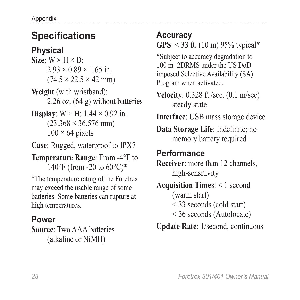# <span id="page-33-0"></span>**Specifications**

### **Physical**

- **Size**:  $W \times H \times D$ :  $2.93 \times 0.89 \times 1.65$  in.  $(74.5 \times 22.5 \times 42 \text{ mm})$
- **Weight** (with wristband): 2.26 oz. (64 g) without batteries
- **Display**:  $W \times H$ : 1.44  $\times$  0.92 in.  $(23.368 \times 36.576$  mm)  $100 \times 64$  pixels
- **Case**: Rugged, waterproof to IPX7
- **Temperature Range**: From -4°F to 140°F (from -20 to  $60^{\circ}$ C)\*

\*The temperature rating of the Foretrex may exceed the usable range of some batteries. Some batteries can rupture at high temperatures.

### **Power**

**Source**: Two AAA batteries (alkaline or NiMH)

### **Accuracy GPS**: < 33 ft. (10 m) 95% typical\*

\*Subject to accuracy degradation to 100 m2 2DRMS under the US DoD imposed Selective Availability (SA) Program when activated.

- **Velocity**: 0.328 ft./sec. (0.1 m/sec) steady state
- **Interface**: USB mass storage device

**Data Storage Life**: Indefinite; no memory battery required

### **Performance**

**Receiver**: more than 12 channels, high-sensitivity

**Acquisition Times**: < 1 second (warm start) < 33 seconds (cold start)

- < 36 seconds (Autolocate)
- **Update Rate**: 1/second, continuous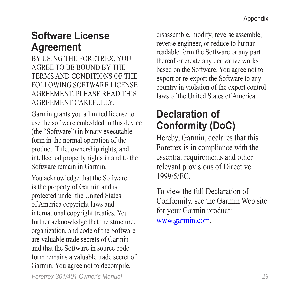### <span id="page-34-0"></span>**Software License Agreement**

BY USING THE FORETREX, YOU AGREE TO BE BOUND BY THE TERMS AND CONDITIONS OF THE FOLLOWING SOFTWARE LICENSE AGREEMENT. PLEASE READ THIS AGREEMENT CAREFULLY.

Garmin grants you a limited license to use the software embedded in this device (the "Software") in binary executable form in the normal operation of the product. Title, ownership rights, and intellectual property rights in and to the Software remain in Garmin.

*Foretrex 301/401 Owner's Manual 29* You acknowledge that the Software is the property of Garmin and is protected under the United States of America copyright laws and international copyright treaties. You further acknowledge that the structure, organization, and code of the Software are valuable trade secrets of Garmin and that the Software in source code form remains a valuable trade secret of Garmin. You agree not to decompile,

disassemble, modify, reverse assemble, reverse engineer, or reduce to human readable form the Software or any part thereof or create any derivative works based on the Software. You agree not to export or re-export the Software to any country in violation of the export control laws of the United States of America.

## **Declaration of Conformity (DoC)**

Hereby, Garmin, declares that this Foretrex is in compliance with the essential requirements and other relevant provisions of Directive 1999/5/EC.

To view the full Declaration of Conformity, see the Garmin Web site for your Garmin product: <www.garmin.com>.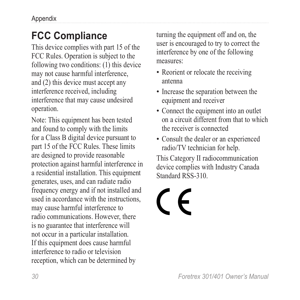# <span id="page-35-0"></span>**FCC Compliance**

This device complies with part 15 of the FCC Rules. Operation is subject to the following two conditions: (1) this device may not cause harmful interference, and (2) this device must accept any interference received, including interference that may cause undesired operation.

Note: This equipment has been tested and found to comply with the limits for a Class B digital device pursuant to part 15 of the FCC Rules. These limits are designed to provide reasonable protection against harmful interference in a residential installation. This equipment generates, uses, and can radiate radio frequency energy and if not installed and used in accordance with the instructions, may cause harmful interference to radio communications. However, there is no guarantee that interference will not occur in a particular installation. If this equipment does cause harmful interference to radio or television reception, which can be determined by

turning the equipment off and on, the user is encouraged to try to correct the interference by one of the following measures:

- Reorient or relocate the receiving antenna
- Increase the separation between the equipment and receiver
- Connect the equipment into an outlet on a circuit different from that to which the receiver is connected
- Consult the dealer or an experienced •radio/TV technician for help.

This Category II radiocommunication device complies with Industry Canada Standard RSS-310.

# $\epsilon$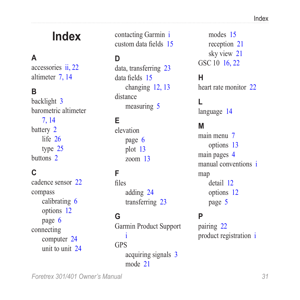# <span id="page-36-0"></span>**Index**

### **A**

accessories [ii](#page-3-0), [22](#page-27-0) altimeter [7,](#page-12-0) [14](#page-19-1)

#### **B**

backlight [3](#page-8-0) barometric altimeter [7,](#page-12-0) [14](#page-19-1) battery [2](#page-7-0) life [26](#page-31-0) type [25](#page-30-0) buttons [2](#page-7-0)

### **C**

cadence sensor [22](#page-27-0) compass calibrating [6](#page-11-0) options [12](#page-17-0) page [6](#page-11-0) connecting computer [24](#page-29-0) unit to unit [24](#page-29-0) contacting Garmin [i](#page-2-0) custom data fields [15](#page-20-0)

### **D**

data, transferring [23](#page-28-0) data fields [15](#page-20-0) changing [12,](#page-17-0) [13](#page-18-0) distance measuring [5](#page-10-0)

### **E**

elevation page [6](#page-11-0) plot [13](#page-18-0) zoom [13](#page-18-0)

### **F**

files adding [24](#page-29-0) transferring [23](#page-28-0)

#### **G**

Garmin Product Support [i](#page-2-0) GPS acquiring signals [3](#page-8-0) mode [21](#page-26-0)

modes [15](#page-20-0) reception [21](#page-26-0) sky view [21](#page-26-0) GSC 10 [16,](#page-21-0) [22](#page-27-0)

### **H**

heart rate monitor [22](#page-27-0)

#### **L**

language [14](#page-19-1)

#### **M**

main menu [7](#page-12-0) options [13](#page-18-0) main pages [4](#page-9-0) manual conventions [i](#page-2-0) map detail [12](#page-17-0) options [12](#page-17-0) page [5](#page-10-0)

#### **P**

pairing [22](#page-27-0) product registration [i](#page-2-0)

*Foretrex 301/401 Owner's Manual 31*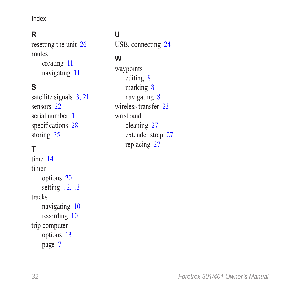Index

### **R**

resetting the unit [26](#page-31-0) routes creating [11](#page-16-0) navigating [11](#page-16-0)

### **S**

satellite signals [3,](#page-8-0) [21](#page-26-0) sensors [22](#page-27-0) serial number [1](#page-6-0) specifications [28](#page-33-0) storing [25](#page-30-0)

### **T**

time [14](#page-19-1) timer options [20](#page-25-0) setting [12,](#page-17-0) [13](#page-18-0) tracks navigating [10](#page-15-0) recording [10](#page-15-0) trip computer options [13](#page-18-0) page [7](#page-12-0)

### **U**

USB, connecting [24](#page-29-0)

#### **W**

waypoints editing [8](#page-13-0) marking [8](#page-13-0) navigating [8](#page-13-0) wireless transfer [23](#page-28-0) wristband cleaning [27](#page-32-0) extender strap [27](#page-32-0) replacing [27](#page-32-0)